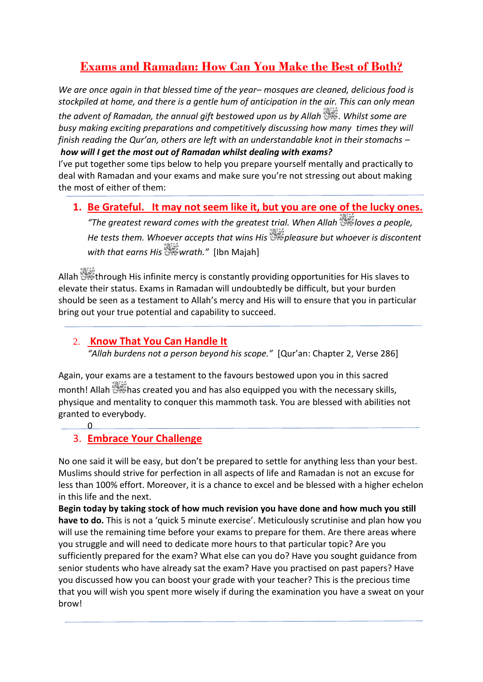# **Exams and Ramadan: How Can You Make the Best of Both?**

*We are once again in that blessed time of the year– mosques are cleaned, delicious food is stockpiled at home, and there is a gentle hum of anticipation in the air. This can only mean* 

*the advent of Ramadan, the annual gift bestowed upon us by Allah . Whilst some are busy making exciting preparations and competitively discussing how many times they will finish reading the Qur'an, others are left with an understandable knot in their stomachs – how will I get the most out of Ramadan whilst dealing with exams?*

I've put together some tips below to help you prepare yourself mentally and practically to deal with Ramadan and your exams and make sure you're not stressing out about making the most of either of them:

#### **1. Be Grateful. It may not seem like it, but you are one of the lucky ones.**

*"The greatest reward comes with the greatest trial. When Allah loves a people, He tests them. Whoever accepts that wins His*  $\frac{1}{2}$  pleasure but whoever is discontent *with that earns His wrath."* [\[Ibn Majah\]](http://www.sunnah.com/urn/1291310)

Allah through His infinite mercy is constantly providing opportunities for His slaves to elevate their status. Exams in Ramadan will undoubtedly be difficult, but your burden should be seen as a testament to Allah's mercy and His will to ensure that you in particular bring out your true potential and capability to succeed.

#### 2. **Know That You Can Handle It**

*"Allah burdens not a person beyond his scope."* [[Qur'an: Chapter 2, Verse 286](http://quran.com/2/286)]

Again, your exams are a testament to the favours bestowed upon you in this sacred month! Allah  $\mathbb{S}^2$  has created you and has also equipped you with the necessary skills, physique and mentality to conquer this mammoth task. You are blessed with abilities not granted to everybody.

### 3. **Embrace Your Challenge**

 $\overline{\mathbf{0}}$ 

No one said it will be easy, but don't be prepared to settle for anything less than your best. Muslims should strive for perfection in all aspects of life and Ramadan is not an excuse for less than 100% effort. Moreover, it is a chance to excel and be blessed with a higher echelon in this life and the next.

**Begin today by taking stock of how much revision you have done and how much you still have to do.** This is not a 'quick 5 minute exercise'. Meticulously scrutinise and plan how you will use the remaining time before your exams to prepare for them. Are there areas where you struggle and will need to dedicate more hours to that particular topic? Are you sufficiently prepared for the exam? What else can you do? Have you sought guidance from senior students who have already sat the exam? Have you practised on past papers? Have you discussed how you can boost your grade with your teacher? This is the precious time that you will wish you spent more wisely if during the examination you have a sweat on your brow!